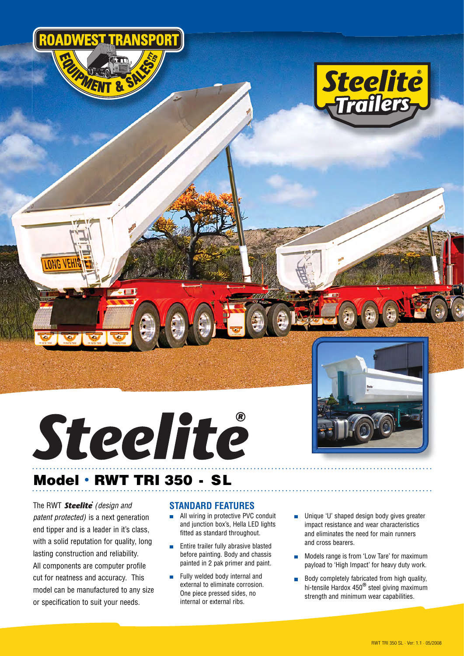



## **Model · RWT TRI 350 - SL**

The RWT **Steelite** (design and *patent protected)* is a next generation end tipper and is a leader in it's class, with a solid reputation for quality, long lasting construction and reliability. All components are computer profile cut for neatness and accuracy. This model can be manufactured to any size or specification to suit your needs.

## **STANDARD FEATURES**

- **All wiring in protective PVC conduit**  and junction box's, Hella LED lights fitted as standard throughout.
- **Entire trailer fully abrasive blasted**  before painting. Body and chassis painted in 2 pak primer and paint.
- Fully welded body internal and external to eliminate corrosion. One piece pressed sides, no internal or external ribs.
- Unique 'U' shaped design body gives greater impact resistance and wear characteristics and eliminates the need for main runners and cross bearers.
- **Models range is from 'Low Tare' for maximum** payload to 'High Impact' for heavy duty work.
- **Body completely fabricated from high quality,** hi-tensile Hardox 450**®** steel giving maximum strength and minimum wear capabilities.